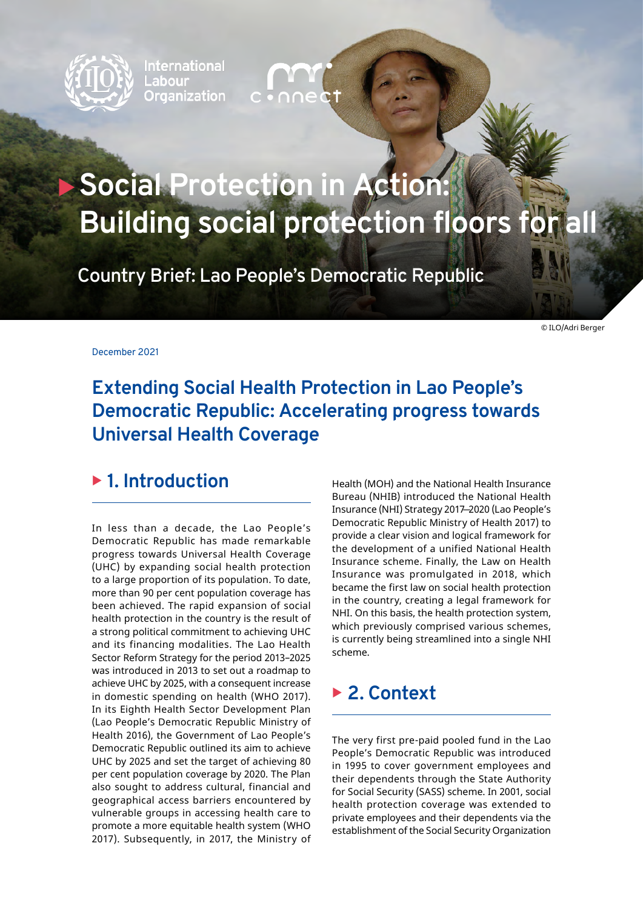

**International** Labour l Organization

# **Social Protection in Action: Building social protection floors for all**

**Country Brief: Lao People's Democratic Republic**

© ILO/Adri Berger

December 2021

# **Extending Social Health Protection in Lao People's Democratic Republic: Accelerating progress towards Universal Health Coverage**

## ▶ 1. Introduction

In less than a decade, the Lao People's Democratic Republic has made remarkable progress towards Universal Health Coverage (UHC) by expanding social health protection to a large proportion of its population. To date, more than 90 per cent population coverage has been achieved. The rapid expansion of social health protection in the country is the result of a strong political commitment to achieving UHC and its financing modalities. The Lao Health Sector Reform Strategy for the period 2013–2025 was introduced in 2013 to set out a roadmap to achieve UHC by 2025, with a consequent increase in domestic spending on health (WHO 2017). In its Eighth Health Sector Development Plan (Lao People's Democratic Republic Ministry of Health 2016), the Government of Lao People's Democratic Republic outlined its aim to achieve UHC by 2025 and set the target of achieving 80 per cent population coverage by 2020. The Plan also sought to address cultural, financial and geographical access barriers encountered by vulnerable groups in accessing health care to promote a more equitable health system (WHO 2017). Subsequently, in 2017, the Ministry of

Health (MOH) and the National Health Insurance Bureau (NHIB) introduced the National Health Insurance (NHI) Strategy 2017 ̶ 2020 (Lao People's Democratic Republic Ministry of Health 2017) to provide a clear vision and logical framework for the development of a unified National Health Insurance scheme. Finally, the Law on Health Insurance was promulgated in 2018, which became the first law on social health protection in the country, creating a legal framework for NHI. On this basis, the health protection system, which previously comprised various schemes, is currently being streamlined into a single NHI scheme.

### <sup>X</sup> **2. Context**

The very first pre-paid pooled fund in the Lao People's Democratic Republic was introduced in 1995 to cover government employees and their dependents through the State Authority for Social Security (SASS) scheme. In 2001, social health protection coverage was extended to private employees and their dependents via the establishment of the Social Security Organization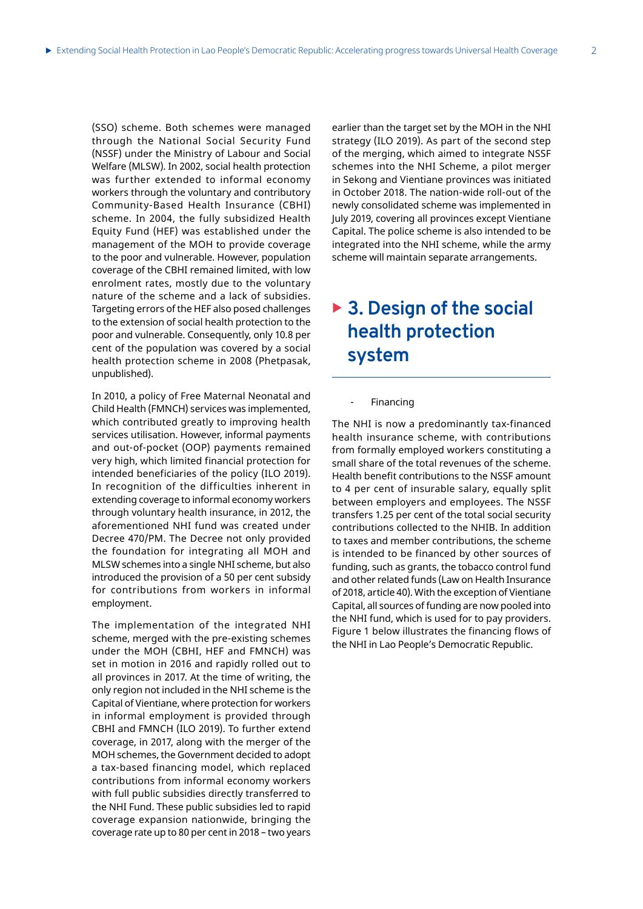(SSO) scheme. Both schemes were managed through the National Social Security Fund (NSSF) under the Ministry of Labour and Social Welfare (MLSW). In 2002, social health protection was further extended to informal economy workers through the voluntary and contributory Community-Based Health Insurance (CBHI) scheme. In 2004, the fully subsidized Health Equity Fund (HEF) was established under the management of the MOH to provide coverage to the poor and vulnerable. However, population coverage of the CBHI remained limited, with low enrolment rates, mostly due to the voluntary nature of the scheme and a lack of subsidies. Targeting errors of the HEF also posed challenges to the extension of social health protection to the poor and vulnerable. Consequently, only 10.8 per cent of the population was covered by a social health protection scheme in 2008 (Phetpasak, unpublished).

In 2010, a policy of Free Maternal Neonatal and Child Health (FMNCH) services was implemented, which contributed greatly to improving health services utilisation. However, informal payments and out-of-pocket (OOP) payments remained very high, which limited financial protection for intended beneficiaries of the policy (ILO 2019). In recognition of the difficulties inherent in extending coverage to informal economy workers through voluntary health insurance, in 2012, the aforementioned NHI fund was created under Decree 470/PM. The Decree not only provided the foundation for integrating all MOH and MLSW schemes into a single NHI scheme, but also introduced the provision of a 50 per cent subsidy for contributions from workers in informal employment.

The implementation of the integrated NHI scheme, merged with the pre-existing schemes under the MOH (CBHI, HEF and FMNCH) was set in motion in 2016 and rapidly rolled out to all provinces in 2017. At the time of writing, the only region not included in the NHI scheme is the Capital of Vientiane, where protection for workers in informal employment is provided through CBHI and FMNCH (ILO 2019). To further extend coverage, in 2017, along with the merger of the MOH schemes, the Government decided to adopt a tax-based financing model, which replaced contributions from informal economy workers with full public subsidies directly transferred to the NHI Fund. These public subsidies led to rapid coverage expansion nationwide, bringing the coverage rate up to 80 per cent in 2018 – two years

earlier than the target set by the MOH in the NHI strategy (ILO 2019). As part of the second step of the merging, which aimed to integrate NSSF schemes into the NHI Scheme, a pilot merger in Sekong and Vientiane provinces was initiated in October 2018. The nation-wide roll-out of the newly consolidated scheme was implemented in July 2019, covering all provinces except Vientiane Capital. The police scheme is also intended to be integrated into the NHI scheme, while the army scheme will maintain separate arrangements.

# ▶ 3. Design of the social **health protection system**

**Financing** 

The NHI is now a predominantly tax-financed health insurance scheme, with contributions from formally employed workers constituting a small share of the total revenues of the scheme. Health benefit contributions to the NSSF amount to 4 per cent of insurable salary, equally split between employers and employees. The NSSF transfers 1.25 per cent of the total social security contributions collected to the NHIB. In addition to taxes and member contributions, the scheme is intended to be financed by other sources of funding, such as grants, the tobacco control fund and other related funds (Law on Health Insurance of 2018, article 40). With the exception of Vientiane Capital, all sources of funding are now pooled into the NHI fund, which is used for to pay providers. Figure 1 below illustrates the financing flows of the NHI in Lao People's Democratic Republic.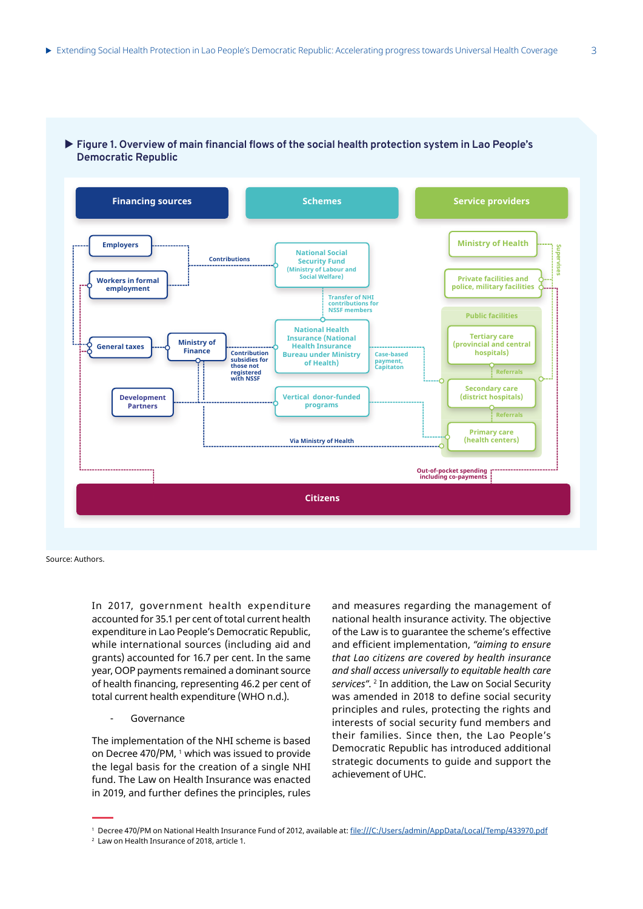

#### ▶ Figure 1. Overview of main financial flows of the social health protection system in Lao People's **Democratic Republic**

Source: Authors.

In 2017, government health expenditure accounted for 35.1 per cent of total current health expenditure in Lao People's Democratic Republic, while international sources (including aid and grants) accounted for 16.7 per cent. In the same year, OOP payments remained a dominant source of health financing, representing 46.2 per cent of total current health expenditure (WHO n.d.).

#### Governance

The implementation of the NHI scheme is based on Decree 470/PM, 1 which was issued to provide the legal basis for the creation of a single NHI fund. The Law on Health Insurance was enacted in 2019, and further defines the principles, rules

and measures regarding the management of national health insurance activity. The objective of the Law is to guarantee the scheme's effective and efficient implementation, *"aiming to ensure that Lao citizens are covered by health insurance and shall access universally to equitable health care services"*. 2 In addition, the Law on Social Security was amended in 2018 to define social security principles and rules, protecting the rights and interests of social security fund members and their families. Since then, the Lao People's Democratic Republic has introduced additional strategic documents to guide and support the achievement of UHC.

<sup>&</sup>lt;sup>1</sup> Decree 470/PM on National Health Insurance Fund of 2012, available at: <u>file:///C:/Users/admin/AppData/Local/Temp/433970.pdf</u>

<sup>2</sup> Law on Health Insurance of 2018, article 1.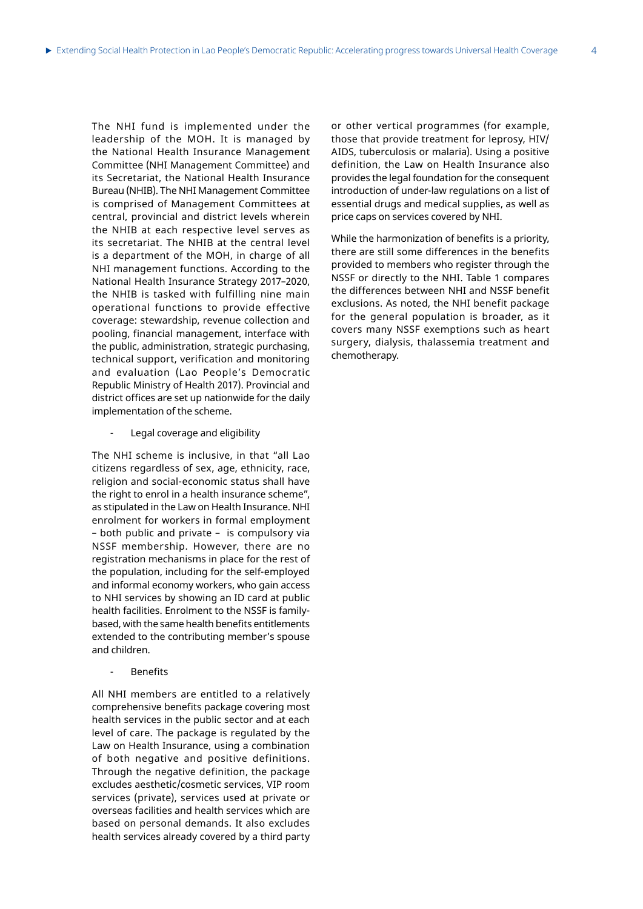The NHI fund is implemented under the leadership of the MOH. It is managed by the National Health Insurance Management Committee (NHI Management Committee) and its Secretariat, the National Health Insurance Bureau (NHIB). The NHI Management Committee is comprised of Management Committees at central, provincial and district levels wherein the NHIB at each respective level serves as its secretariat. The NHIB at the central level is a department of the MOH, in charge of all NHI management functions. According to the National Health Insurance Strategy 2017–2020, the NHIB is tasked with fulfilling nine main operational functions to provide effective coverage: stewardship, revenue collection and pooling, financial management, interface with the public, administration, strategic purchasing, technical support, verification and monitoring and evaluation (Lao People's Democratic Republic Ministry of Health 2017). Provincial and district offices are set up nationwide for the daily implementation of the scheme.

Legal coverage and eligibility

The NHI scheme is inclusive, in that "all Lao citizens regardless of sex, age, ethnicity, race, religion and social-economic status shall have the right to enrol in a health insurance scheme", as stipulated in the Law on Health Insurance. NHI enrolment for workers in formal employment – both public and private – is compulsory via NSSF membership. However, there are no registration mechanisms in place for the rest of the population, including for the self-employed and informal economy workers, who gain access to NHI services by showing an ID card at public health facilities. Enrolment to the NSSF is familybased, with the same health benefits entitlements extended to the contributing member's spouse and children.

- Benefits

All NHI members are entitled to a relatively comprehensive benefits package covering most health services in the public sector and at each level of care. The package is regulated by the Law on Health Insurance, using a combination of both negative and positive definitions. Through the negative definition, the package excludes aesthetic/cosmetic services, VIP room services (private), services used at private or overseas facilities and health services which are based on personal demands. It also excludes health services already covered by a third party

or other vertical programmes (for example, those that provide treatment for leprosy, HIV/ AIDS, tuberculosis or malaria). Using a positive definition, the Law on Health Insurance also provides the legal foundation for the consequent introduction of under-law regulations on a list of essential drugs and medical supplies, as well as price caps on services covered by NHI.

While the harmonization of benefits is a priority, there are still some differences in the benefits provided to members who register through the NSSF or directly to the NHI. Table 1 compares the differences between NHI and NSSF benefit exclusions. As noted, the NHI benefit package for the general population is broader, as it covers many NSSF exemptions such as heart surgery, dialysis, thalassemia treatment and chemotherapy.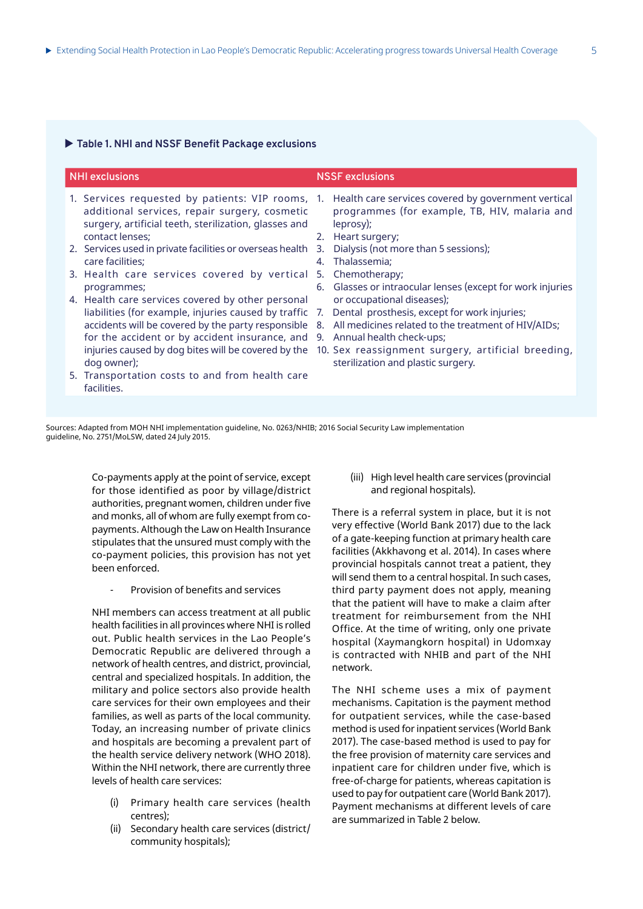#### $\blacktriangleright$  Table 1. NHI and NSSF Benefit Package exclusions

| <b>NHI exclusions</b>                                                                                                                                                                                                                                                                                                                                                                                                                                                                                                                                                                                                                                                                           |                      | <b>NSSF exclusions</b>                                                                                                                                                                                                                                                                                                                                                                                                                                                                                                                     |
|-------------------------------------------------------------------------------------------------------------------------------------------------------------------------------------------------------------------------------------------------------------------------------------------------------------------------------------------------------------------------------------------------------------------------------------------------------------------------------------------------------------------------------------------------------------------------------------------------------------------------------------------------------------------------------------------------|----------------------|--------------------------------------------------------------------------------------------------------------------------------------------------------------------------------------------------------------------------------------------------------------------------------------------------------------------------------------------------------------------------------------------------------------------------------------------------------------------------------------------------------------------------------------------|
| 1. Services requested by patients: VIP rooms, 1.<br>additional services, repair surgery, cosmetic<br>surgery, artificial teeth, sterilization, glasses and<br>contact lenses;<br>2. Services used in private facilities or overseas health 3.<br>care facilities;<br>3. Health care services covered by vertical 5.<br>programmes;<br>4. Health care services covered by other personal<br>liabilities (for example, injuries caused by traffic<br>accidents will be covered by the party responsible<br>for the accident or by accident insurance, and<br>injuries caused by dog bites will be covered by the<br>dog owner);<br>5. Transportation costs to and from health care<br>facilities. | 4.<br>7.<br>8.<br>9. | Health care services covered by government vertical<br>programmes (for example, TB, HIV, malaria and<br>leprosy);<br>2. Heart surgery;<br>Dialysis (not more than 5 sessions);<br>Thalassemia;<br>Chemotherapy;<br>6. Glasses or intraocular lenses (except for work injuries<br>or occupational diseases);<br>Dental prosthesis, except for work injuries;<br>All medicines related to the treatment of HIV/AIDs;<br>Annual health check-ups;<br>10. Sex reassignment surgery, artificial breeding,<br>sterilization and plastic surgery. |
|                                                                                                                                                                                                                                                                                                                                                                                                                                                                                                                                                                                                                                                                                                 |                      |                                                                                                                                                                                                                                                                                                                                                                                                                                                                                                                                            |

Sources: Adapted from MOH NHI implementation guideline, No. 0263/NHIB; 2016 Social Security Law implementation guideline, No. 2751/MoLSW, dated 24 July 2015.

> Co-payments apply at the point of service, except for those identified as poor by village/district authorities, pregnant women, children under five and monks, all of whom are fully exempt from copayments. Although the Law on Health Insurance stipulates that the unsured must comply with the co-payment policies, this provision has not yet been enforced.

Provision of benefits and services

NHI members can access treatment at all public health facilities in all provinces where NHI is rolled out. Public health services in the Lao People's Democratic Republic are delivered through a network of health centres, and district, provincial, central and specialized hospitals. In addition, the military and police sectors also provide health care services for their own employees and their families, as well as parts of the local community. Today, an increasing number of private clinics and hospitals are becoming a prevalent part of the health service delivery network (WHO 2018). Within the NHI network, there are currently three levels of health care services:

- Primary health care services (health centres);
- (ii) Secondary health care services (district/ community hospitals);

(iii) High level health care services (provincial and regional hospitals).

There is a referral system in place, but it is not very effective (World Bank 2017) due to the lack of a gate-keeping function at primary health care facilities (Akkhavong et al. 2014). In cases where provincial hospitals cannot treat a patient, they will send them to a central hospital. In such cases, third party payment does not apply, meaning that the patient will have to make a claim after treatment for reimbursement from the NHI Office. At the time of writing, only one private hospital (Xaymangkorn hospital) in Udomxay is contracted with NHIB and part of the NHI network.

The NHI scheme uses a mix of payment mechanisms. Capitation is the payment method for outpatient services, while the case-based method is used for inpatient services (World Bank 2017). The case-based method is used to pay for the free provision of maternity care services and inpatient care for children under five, which is free-of-charge for patients, whereas capitation is used to pay for outpatient care (World Bank 2017). Payment mechanisms at different levels of care are summarized in Table 2 below.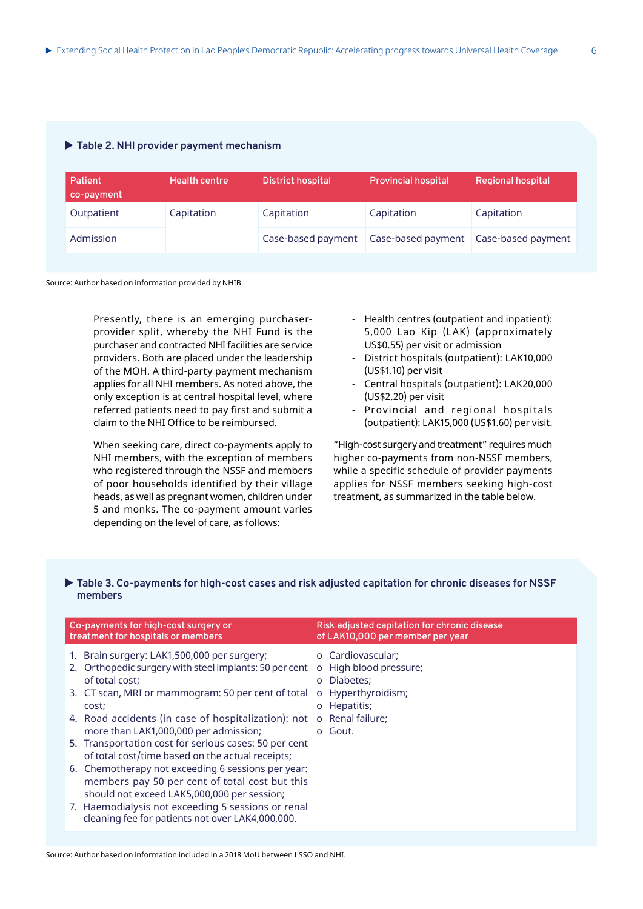|  |  |  |  |  | Table 2. NHI provider payment mechanism |
|--|--|--|--|--|-----------------------------------------|
|--|--|--|--|--|-----------------------------------------|

| Patient<br>co-payment | <b>Health centre</b> | <b>District hospital</b> | <b>Provincial hospital</b> | <b>Regional hospital</b> |
|-----------------------|----------------------|--------------------------|----------------------------|--------------------------|
| Outpatient            | Capitation           | Capitation               | Capitation                 | Capitation               |
| Admission             |                      | Case-based payment       | Case-based payment         | Case-based payment       |

Source: Author based on information provided by NHIB.

Presently, there is an emerging purchaserprovider split, whereby the NHI Fund is the purchaser and contracted NHI facilities are service providers. Both are placed under the leadership of the MOH. A third-party payment mechanism applies for all NHI members. As noted above, the only exception is at central hospital level, where referred patients need to pay first and submit a claim to the NHI Office to be reimbursed.

When seeking care, direct co-payments apply to NHI members, with the exception of members who registered through the NSSF and members of poor households identified by their village heads, as well as pregnant women, children under 5 and monks. The co-payment amount varies depending on the level of care, as follows:

- Health centres (outpatient and inpatient): 5,000 Lao Kip (LAK) (approximately US\$0.55) per visit or admission
- District hospitals (outpatient): LAK10,000 (US\$1.10) per visit
- Central hospitals (outpatient): LAK20,000 (US\$2.20) per visit
- Provincial and regional hospitals (outpatient): LAK15,000 (US\$1.60) per visit.

"High-cost surgery and treatment" requires much higher co-payments from non-NSSF members, while a specific schedule of provider payments applies for NSSF members seeking high-cost treatment, as summarized in the table below.

#### $\blacktriangleright$  Table 3. Co-payments for high-cost cases and risk adjusted capitation for chronic diseases for NSSF **members**

| Co-payments for high-cost surgery or<br>treatment for hospitals or members |                                                                                                                                                     | Risk adjusted capitation for chronic disease<br>of LAK10,000 per member per year |                                                 |  |
|----------------------------------------------------------------------------|-----------------------------------------------------------------------------------------------------------------------------------------------------|----------------------------------------------------------------------------------|-------------------------------------------------|--|
|                                                                            | 1. Brain surgery: LAK1,500,000 per surgery;<br>2. Orthopedic surgery with steel implants: 50 per cent                                               |                                                                                  | o Cardiovascular;<br>o High blood pressure;     |  |
|                                                                            | of total cost;<br>3. CT scan, MRI or mammogram: 50 per cent of total<br>cost;                                                                       | $\circ$                                                                          | o Diabetes;<br>Hyperthyroidism;<br>o Hepatitis; |  |
|                                                                            | 4. Road accidents (in case of hospitalization): not<br>more than LAK1,000,000 per admission;                                                        | $\Omega$                                                                         | Renal failure;<br>o Gout.                       |  |
|                                                                            | 5. Transportation cost for serious cases: 50 per cent<br>of total cost/time based on the actual receipts;                                           |                                                                                  |                                                 |  |
|                                                                            | 6. Chemotherapy not exceeding 6 sessions per year:<br>members pay 50 per cent of total cost but this<br>should not exceed LAK5,000,000 per session; |                                                                                  |                                                 |  |
|                                                                            | 7. Haemodialysis not exceeding 5 sessions or renal<br>cleaning fee for patients not over LAK4,000,000.                                              |                                                                                  |                                                 |  |

Source: Author based on information included in a 2018 MoU between LSSO and NHI.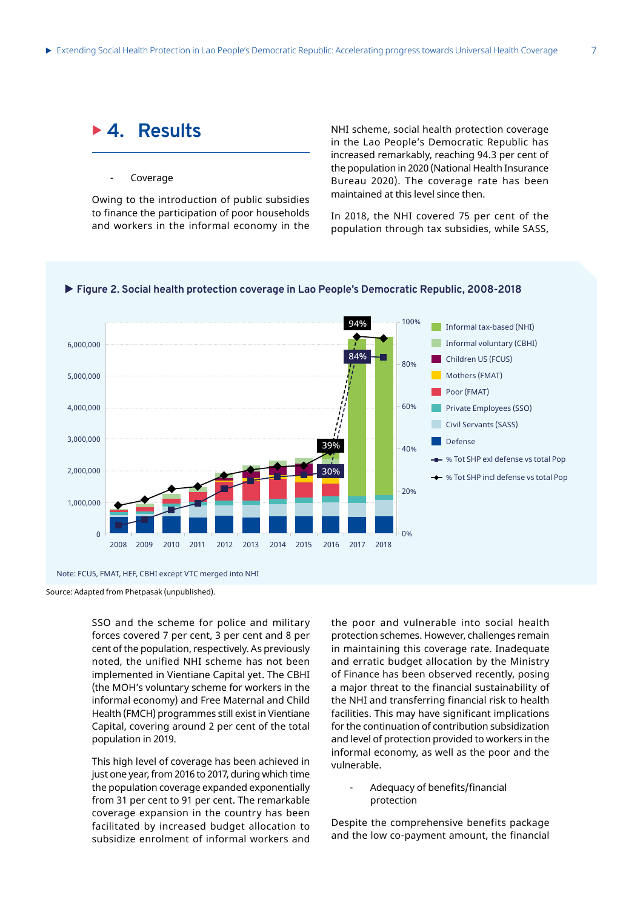## <sup>X</sup> **4. Results**

#### **Coverage**

Owing to the introduction of public subsidies to finance the participation of poor households and workers in the informal economy in the

NHI scheme, social health protection coverage in the Lao People's Democratic Republic has increased remarkably, reaching 94.3 per cent of the population in 2020 (National Health Insurance Bureau 2020). The coverage rate has been maintained at this level since then.

In 2018, the NHI covered 75 per cent of the population through tax subsidies, while SASS,



### X **Figure 2. Social health protection coverage in Lao People's Democratic Republic, 2008-2018**

Note: FCU5, FMAT, HEF, CBHI except VTC merged into NHI

Source: Adapted from Phetpasak (unpublished).

SSO and the scheme for police and military forces covered 7 per cent, 3 per cent and 8 per cent of the population, respectively. As previously noted, the unified NHI scheme has not been implemented in Vientiane Capital yet. The CBHI (the MOH's voluntary scheme for workers in the informal economy) and Free Maternal and Child Health (FMCH) programmes still exist in Vientiane Capital, covering around 2 per cent of the total population in 2019.

This high level of coverage has been achieved in just one year, from 2016 to 2017, during which time the population coverage expanded exponentially from 31 per cent to 91 per cent. The remarkable coverage expansion in the country has been facilitated by increased budget allocation to subsidize enrolment of informal workers and

the poor and vulnerable into social health protection schemes. However, challenges remain in maintaining this coverage rate. Inadequate and erratic budget allocation by the Ministry of Finance has been observed recently, posing a major threat to the financial sustainability of the NHI and transferring financial risk to health facilities. This may have significant implications for the continuation of contribution subsidization and level of protection provided to workers in the informal economy, as well as the poor and the vulnerable.

> - Adequacy of benefits/financial protection

Despite the comprehensive benefits package and the low co-payment amount, the financial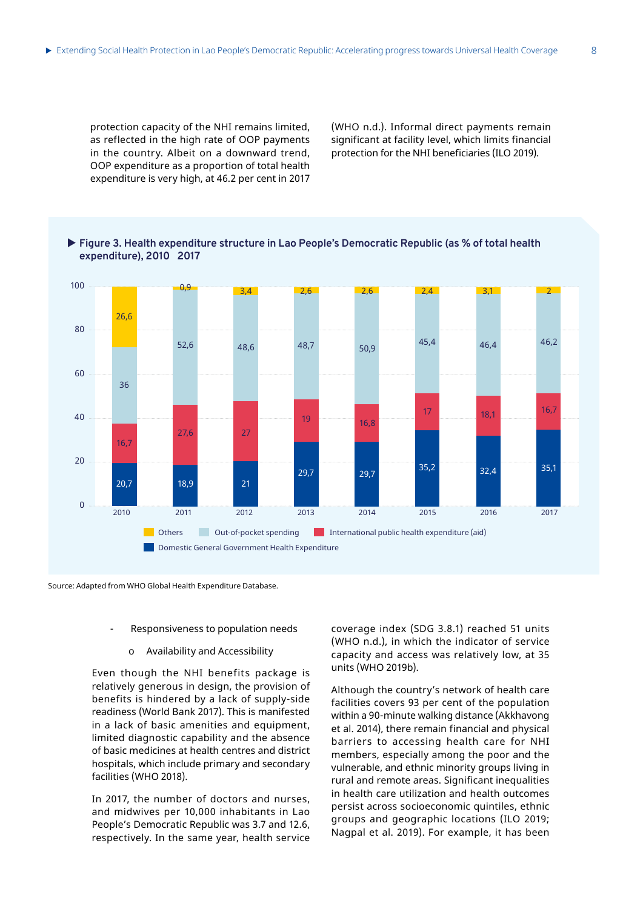protection capacity of the NHI remains limited, as reflected in the high rate of OOP payments in the country. Albeit on a downward trend, OOP expenditure as a proportion of total health expenditure is very high, at 46.2 per cent in 2017

(WHO n.d.). Informal direct payments remain significant at facility level, which limits financial protection for the NHI beneficiaries (ILO 2019).





Source: Adapted from WHO Global Health Expenditure Database.

#### Responsiveness to population needs

o Availability and Accessibility

Even though the NHI benefits package is relatively generous in design, the provision of benefits is hindered by a lack of supply-side readiness (World Bank 2017). This is manifested in a lack of basic amenities and equipment, limited diagnostic capability and the absence of basic medicines at health centres and district hospitals, which include primary and secondary facilities (WHO 2018).

In 2017, the number of doctors and nurses, and midwives per 10,000 inhabitants in Lao People's Democratic Republic was 3.7 and 12.6, respectively. In the same year, health service

coverage index (SDG 3.8.1) reached 51 units (WHO n.d.), in which the indicator of service capacity and access was relatively low, at 35 units (WHO 2019b).

Although the country's network of health care facilities covers 93 per cent of the population within a 90-minute walking distance (Akkhavong et al. 2014), there remain financial and physical barriers to accessing health care for NHI members, especially among the poor and the vulnerable, and ethnic minority groups living in rural and remote areas. Significant inequalities in health care utilization and health outcomes persist across socioeconomic quintiles, ethnic groups and geographic locations (ILO 2019; Nagpal et al. 2019). For example, it has been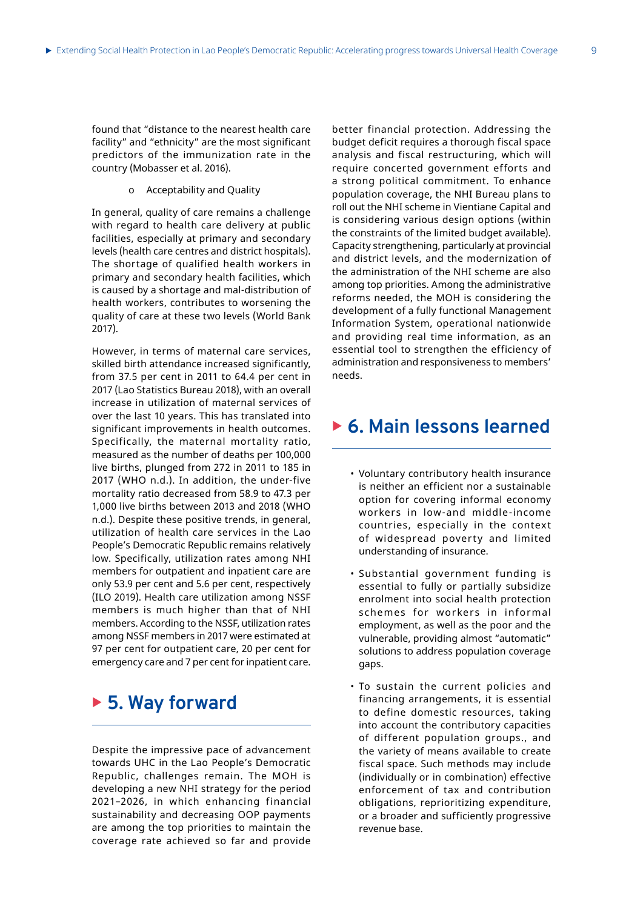found that "distance to the nearest health care facility" and "ethnicity" are the most significant predictors of the immunization rate in the country (Mobasser et al. 2016).

o Acceptability and Quality

In general, quality of care remains a challenge with regard to health care delivery at public facilities, especially at primary and secondary levels (health care centres and district hospitals). The shortage of qualified health workers in primary and secondary health facilities, which is caused by a shortage and mal-distribution of health workers, contributes to worsening the quality of care at these two levels (World Bank 2017).

However, in terms of maternal care services, skilled birth attendance increased significantly, from 37.5 per cent in 2011 to 64.4 per cent in 2017 (Lao Statistics Bureau 2018), with an overall increase in utilization of maternal services of over the last 10 years. This has translated into significant improvements in health outcomes. Specifically, the maternal mortality ratio, measured as the number of deaths per 100,000 live births, plunged from 272 in 2011 to 185 in 2017 (WHO n.d.). In addition, the under-five mortality ratio decreased from 58.9 to 47.3 per 1,000 live births between 2013 and 2018 (WHO n.d.). Despite these positive trends, in general, utilization of health care services in the Lao People's Democratic Republic remains relatively low. Specifically, utilization rates among NHI members for outpatient and inpatient care are only 53.9 per cent and 5.6 per cent, respectively (ILO 2019). Health care utilization among NSSF members is much higher than that of NHI members. According to the NSSF, utilization rates among NSSF members in 2017 were estimated at 97 per cent for outpatient care, 20 per cent for emergency care and 7 per cent for inpatient care.

### ► 5. Way forward

Despite the impressive pace of advancement towards UHC in the Lao People's Democratic Republic, challenges remain. The MOH is developing a new NHI strategy for the period 2021–2026, in which enhancing financial sustainability and decreasing OOP payments are among the top priorities to maintain the coverage rate achieved so far and provide

better financial protection. Addressing the budget deficit requires a thorough fiscal space analysis and fiscal restructuring, which will require concerted government efforts and a strong political commitment. To enhance population coverage, the NHI Bureau plans to roll out the NHI scheme in Vientiane Capital and is considering various design options (within the constraints of the limited budget available). Capacity strengthening, particularly at provincial and district levels, and the modernization of the administration of the NHI scheme are also among top priorities. Among the administrative reforms needed, the MOH is considering the development of a fully functional Management Information System, operational nationwide and providing real time information, as an essential tool to strengthen the efficiency of administration and responsiveness to members' needs.

### ▶ 6. Main lessons learned

- Voluntary contributory health insurance is neither an efficient nor a sustainable option for covering informal economy workers in low-and middle-income countries, especially in the context of widespread poverty and limited understanding of insurance.
- Substantial government funding is essential to fully or partially subsidize enrolment into social health protection schemes for workers in informal employment, as well as the poor and the vulnerable, providing almost "automatic" solutions to address population coverage gaps.
- To sustain the current policies and financing arrangements, it is essential to define domestic resources, taking into account the contributory capacities of different population groups., and the variety of means available to create fiscal space. Such methods may include (individually or in combination) effective enforcement of tax and contribution obligations, reprioritizing expenditure, or a broader and sufficiently progressive revenue base.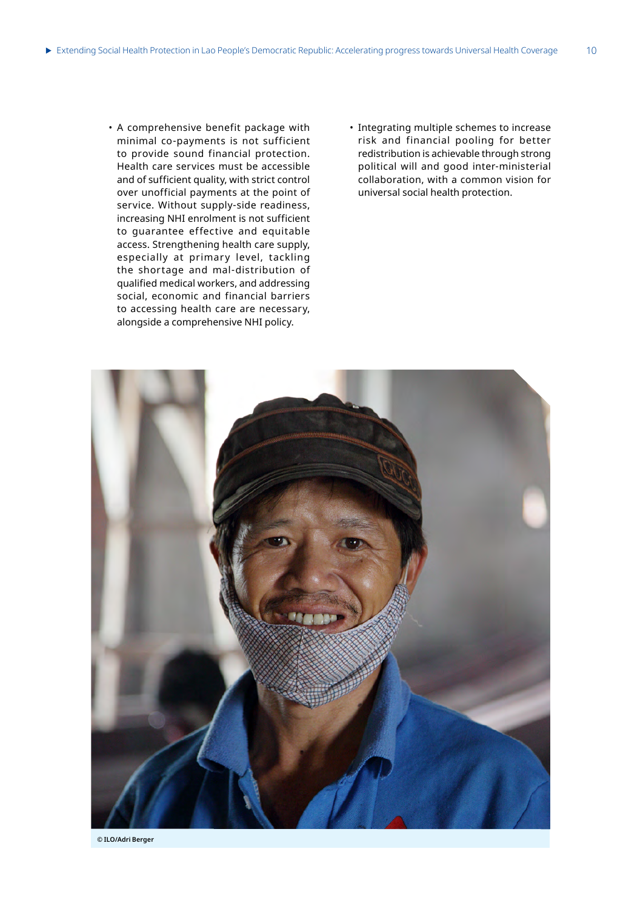- A comprehensive benefit package with minimal co-payments is not sufficient to provide sound financial protection. Health care services must be accessible and of sufficient quality, with strict control over unofficial payments at the point of service. Without supply-side readiness, increasing NHI enrolment is not sufficient to guarantee effective and equitable access. Strengthening health care supply, especially at primary level, tackling the shortage and mal-distribution of qualified medical workers, and addressing social, economic and financial barriers to accessing health care are necessary, alongside a comprehensive NHI policy.
- Integrating multiple schemes to increase risk and financial pooling for better redistribution is achievable through strong political will and good inter-ministerial collaboration, with a common vision for universal social health protection.



**© ILO/Adri Berger**